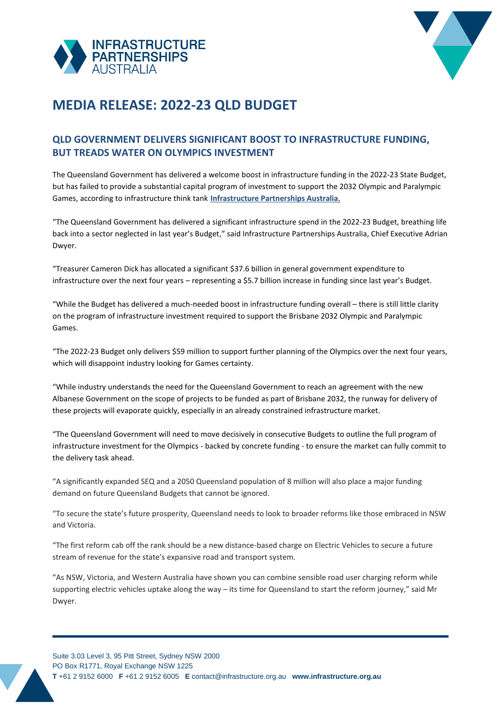



## **MEDIA RELEASE: 2022-23 QLD BUDGET**

## **QLD GOVERNMENT DELIVERS SIGNIFICANT BOOST TO INFRASTRUCTURE FUNDING, BUT TREADS WATER ON OLYMPICS INVESTMENT**

The Queensland Government has delivered a welcome boost in infrastructure funding in the 2022-23 State Budget, but has failed to provide a substantial capital program of investment to support the 2032 Olympic and Paralympic Games, according to infrastructure think tank **[Infrastructure Partnerships Australia](http://infrastructure.org.au/)**.

"The Queensland Government has delivered a significant infrastructure spend in the 2022-23 Budget, breathing life back into a sector neglected in last year's Budget," said Infrastructure Partnerships Australia, Chief Executive Adrian Dwyer.

"Treasurer Cameron Dick has allocated a significant \$37.6 billion in general government expenditure to infrastructure over the next four years – representing a \$5.7 billion increase in funding since last year's Budget.

"While the Budget has delivered a much-needed boost in infrastructure funding overall – there is still little clarity on the program of infrastructure investment required to support the Brisbane 2032 Olympic and Paralympic Games.

"The 2022-23 Budget only delivers \$59 million to support further planning of the Olympics over the next four years, which will disappoint industry looking for Games certainty.

"While industry understands the need for the Queensland Government to reach an agreement with the new Albanese Government on the scope of projects to be funded as part of Brisbane 2032, the runway for delivery of these projects will evaporate quickly, especially in an already constrained infrastructure market.

"The Queensland Government will need to move decisively in consecutive Budgets to outline the full program of infrastructure investment for the Olympics - backed by concrete funding - to ensure the market can fully commit to the delivery task ahead.

"A significantly expanded SEQ and a 2050 Queensland population of 8 million will also place a major funding demand on future Queensland Budgets that cannot be ignored.

"To secure the state's future prosperity, Queensland needs to look to broader reforms like those embraced in NSW and Victoria.

"The first reform cab off the rank should be a new distance-based charge on Electric Vehicles to secure a future stream of revenue for the state's expansive road and transport system.

"As NSW, Victoria, and Western Australia have shown you can combine sensible road user charging reform while supporting electric vehicles uptake along the way – its time for Queensland to start the reform journey," said Mr Dwyer.